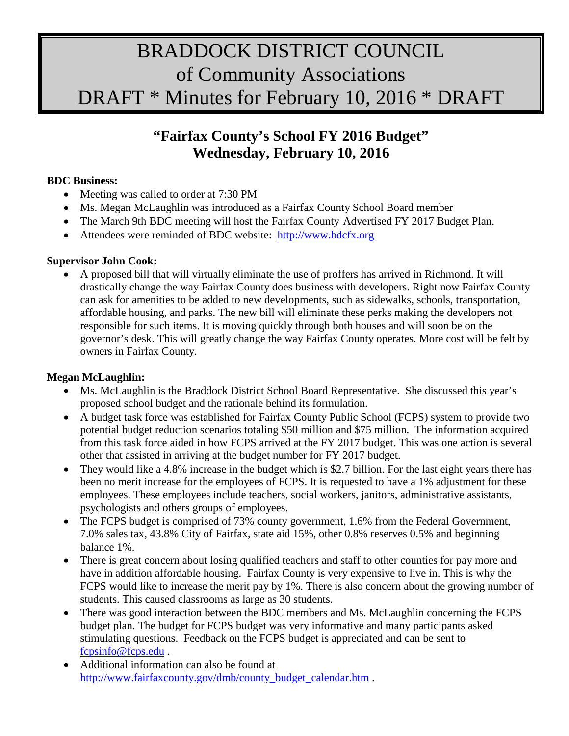# BRADDOCK DISTRICT COUNCIL of Community Associations DRAFT \* Minutes for February 10, 2016 \* DRAFT

## **"Fairfax County's School FY 2016 Budget" Wednesday, February 10, 2016**

#### **BDC Business:**

- Meeting was called to order at 7:30 PM
- Ms. Megan McLaughlin was introduced as a Fairfax County School Board member
- The March 9th BDC meeting will host the Fairfax County Advertised FY 2017 Budget Plan.
- Attendees were reminded of BDC website: [http://www.bdcfx.org](http://www.bdcfx.org/)

## **Supervisor John Cook:**

• A proposed bill that will virtually eliminate the use of proffers has arrived in Richmond. It will drastically change the way Fairfax County does business with developers. Right now Fairfax County can ask for amenities to be added to new developments, such as sidewalks, schools, transportation, affordable housing, and parks. The new bill will eliminate these perks making the developers not responsible for such items. It is moving quickly through both houses and will soon be on the governor's desk. This will greatly change the way Fairfax County operates. More cost will be felt by owners in Fairfax County.

## **Megan McLaughlin:**

- Ms. McLaughlin is the Braddock District School Board Representative. She discussed this year's proposed school budget and the rationale behind its formulation.
- A budget task force was established for Fairfax County Public School (FCPS) system to provide two potential budget reduction scenarios totaling \$50 million and \$75 million. The information acquired from this task force aided in how FCPS arrived at the FY 2017 budget. This was one action is several other that assisted in arriving at the budget number for FY 2017 budget.
- They would like a 4.8% increase in the budget which is \$2.7 billion. For the last eight years there has been no merit increase for the employees of FCPS. It is requested to have a 1% adjustment for these employees. These employees include teachers, social workers, janitors, administrative assistants, psychologists and others groups of employees.
- The FCPS budget is comprised of 73% county government, 1.6% from the Federal Government, 7.0% sales tax, 43.8% City of Fairfax, state aid 15%, other 0.8% reserves 0.5% and beginning balance 1%.
- There is great concern about losing qualified teachers and staff to other counties for pay more and have in addition affordable housing. Fairfax County is very expensive to live in. This is why the FCPS would like to increase the merit pay by 1%. There is also concern about the growing number of students. This caused classrooms as large as 30 students.
- There was good interaction between the BDC members and Ms. McLaughlin concerning the FCPS budget plan. The budget for FCPS budget was very informative and many participants asked stimulating questions. Feedback on the FCPS budget is appreciated and can be sent to [fcpsinfo@fcps.edu](mailto:fcpsinfo@fcps.edu) .
- Additional information can also be found at [http://www.fairfaxcounty.gov/dmb/county\\_budget\\_calendar.htm](http://www.fairfaxcounty.gov/dmb/county_budget_calendar.htm) .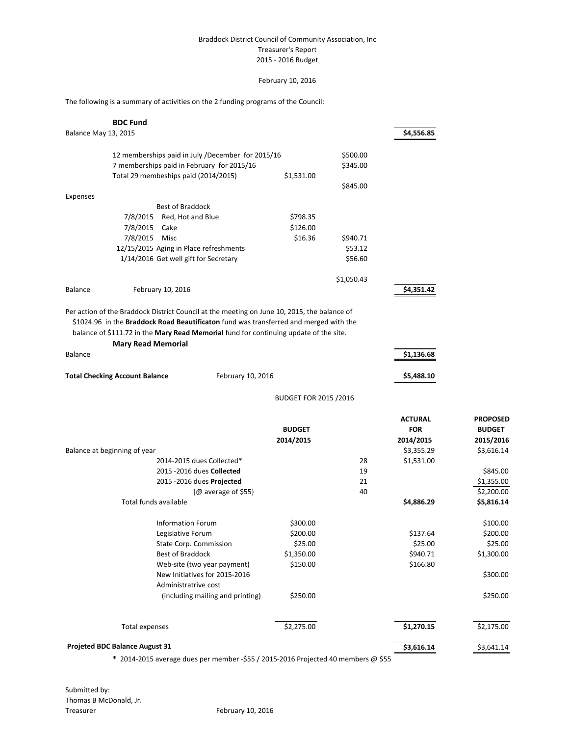#### Braddock District Council of Community Association, Inc Treasurer's Report 2015 - 2016 Budget

#### February 10, 2016

The following is a summary of activities on the 2 funding programs of the Council:

|                                | <b>BDC Fund</b>                                                                             |                              |            |                |                 |
|--------------------------------|---------------------------------------------------------------------------------------------|------------------------------|------------|----------------|-----------------|
| Balance May 13, 2015           |                                                                                             |                              |            | \$4,556.85     |                 |
|                                | 12 memberships paid in July /December for 2015/16                                           |                              | \$500.00   |                |                 |
|                                | 7 memberships paid in February for 2015/16                                                  |                              | \$345.00   |                |                 |
|                                | Total 29 membeships paid (2014/2015)                                                        | \$1,531.00                   |            |                |                 |
|                                |                                                                                             |                              | \$845.00   |                |                 |
| Expenses                       |                                                                                             |                              |            |                |                 |
|                                | <b>Best of Braddock</b>                                                                     |                              |            |                |                 |
|                                | 7/8/2015<br>Red, Hot and Blue                                                               | \$798.35                     |            |                |                 |
|                                | 7/8/2015<br>Cake                                                                            | \$126.00                     |            |                |                 |
|                                | 7/8/2015 Misc                                                                               | \$16.36                      | \$940.71   |                |                 |
|                                | 12/15/2015 Aging in Place refreshments                                                      |                              | \$53.12    |                |                 |
|                                | 1/14/2016 Get well gift for Secretary                                                       |                              | \$56.60    |                |                 |
|                                |                                                                                             |                              | \$1,050.43 |                |                 |
| Balance                        | February 10, 2016                                                                           |                              |            | \$4,351.42     |                 |
|                                | Per action of the Braddock District Council at the meeting on June 10, 2015, the balance of |                              |            |                |                 |
|                                | \$1024.96 in the Braddock Road Beautificaton fund was transferred and merged with the       |                              |            |                |                 |
|                                | balance of \$111.72 in the Mary Read Memorial fund for continuing update of the site.       |                              |            |                |                 |
|                                | <b>Mary Read Memorial</b>                                                                   |                              |            |                |                 |
| Balance                        |                                                                                             |                              |            | \$1,136.68     |                 |
|                                |                                                                                             |                              |            |                |                 |
|                                | <b>Total Checking Account Balance</b><br>February 10, 2016                                  |                              |            | \$5,488.10     |                 |
|                                |                                                                                             | <b>BUDGET FOR 2015 /2016</b> |            |                |                 |
|                                |                                                                                             |                              |            | <b>ACTURAL</b> | <b>PROPOSED</b> |
|                                |                                                                                             | <b>BUDGET</b>                |            | <b>FOR</b>     | <b>BUDGET</b>   |
|                                |                                                                                             | 2014/2015                    |            | 2014/2015      | 2015/2016       |
| Balance at beginning of year   |                                                                                             |                              |            | \$3,355.29     | \$3,616.14      |
|                                | 2014-2015 dues Collected*                                                                   |                              | 28         | \$1,531.00     |                 |
|                                | 2015 - 2016 dues Collected                                                                  |                              | 19         |                | \$845.00        |
|                                | 2015 - 2016 dues Projected                                                                  |                              | 21         |                | \$1,355.00      |
|                                | $[@$ average of \$55}                                                                       |                              | 40         |                | \$2,200.00      |
|                                | Total funds available                                                                       |                              |            | \$4,886.29     | \$5,816.14      |
|                                | Information Forum                                                                           | \$300.00                     |            |                | \$100.00        |
|                                | Legislative Forum                                                                           | \$200.00                     |            | \$137.64       | \$200.00        |
|                                | State Corp. Commission                                                                      | \$25.00                      |            | \$25.00        | \$25.00         |
|                                | Best of Braddock                                                                            | \$1,350.00                   |            | \$940.71       | \$1,300.00      |
|                                | Web-site (two year payment)                                                                 | \$150.00                     |            | \$166.80       |                 |
|                                | New Initiatives for 2015-2016                                                               |                              |            |                | \$300.00        |
|                                | Administratrive cost                                                                        |                              |            |                |                 |
|                                | (including mailing and printing)                                                            | \$250.00                     |            |                | \$250.00        |
|                                | Total expenses                                                                              | \$2,275.00                   |            | \$1,270.15     | \$2,175.00      |
|                                |                                                                                             |                              |            |                |                 |
| Projeted BDC Balance August 31 |                                                                                             |                              | \$3,616.14 | \$3,641.14     |                 |

\* 2014-2015 average dues per member -\$55 / 2015-2016 Projected 40 members @ \$55

Submitted by: Thomas B McDonald, Jr. Treasurer February 10, 2016